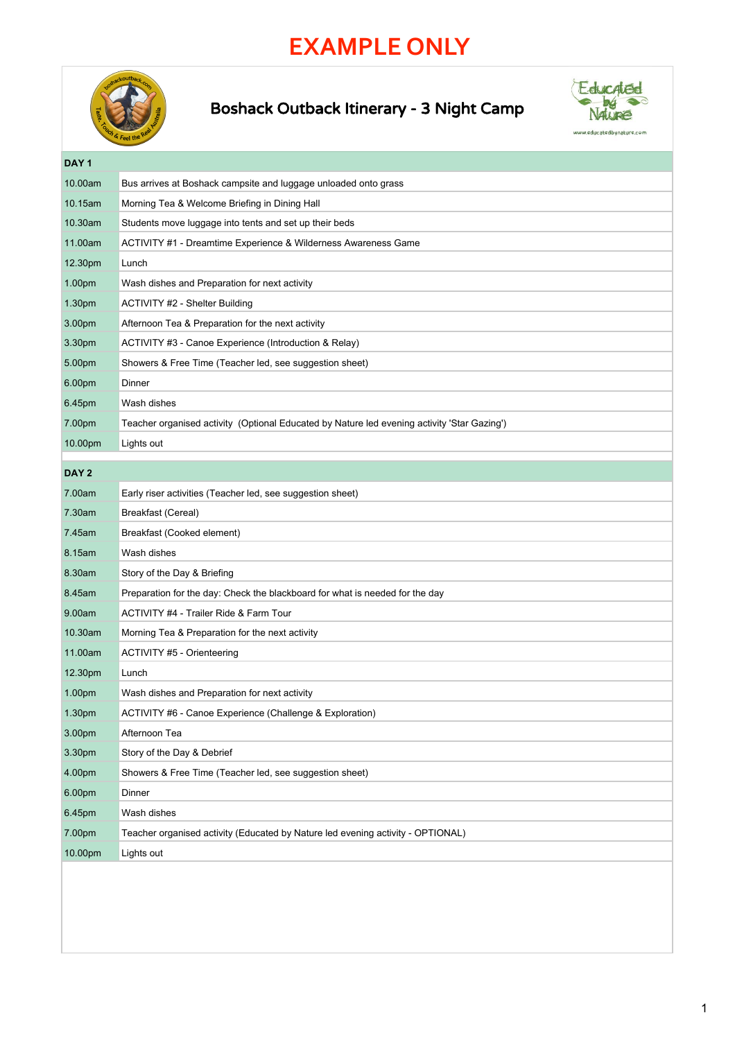## **EXAMPLE ONLY**



## Boshack Outback Itinerary - 3 Night Camp



**DAY 1** 10.00am Bus arrives at Boshack campsite and luggage unloaded onto grass 10.15am Morning Tea & Welcome Briefing in Dining Hall 10.30am Students move luggage into tents and set up their beds 11.00am ACTIVITY #1 - Dreamtime Experience & Wilderness Awareness Game 12.30pm Lunch 1.00pm Wash dishes and Preparation for next activity 1.30pm ACTIVITY #2 - Shelter Building 3.00pm Afternoon Tea & Preparation for the next activity 3.30pm ACTIVITY #3 - Canoe Experience (Introduction & Relay) 5.00pm Showers & Free Time (Teacher led, see suggestion sheet) 6.00pm Dinner 6.45pm Wash dishes 7.00pm Teacher organised activity (Optional Educated by Nature led evening activity 'Star Gazing') 10.00pm Lights out **DAY 2** 7.00am Early riser activities (Teacher led, see suggestion sheet) 7.30am Breakfast (Cereal) 7.45am Breakfast (Cooked element) 8.15am Wash dishes 8.30am Story of the Day & Briefing 8.45am Preparation for the day: Check the blackboard for what is needed for the day 9.00am ACTIVITY #4 - Trailer Ride & Farm Tour 10.30am Morning Tea & Preparation for the next activity 11.00am ACTIVITY #5 - Orienteering 12.30pm Lunch 1.00pm Wash dishes and Preparation for next activity 1.30pm ACTIVITY #6 - Canoe Experience (Challenge & Exploration) 3.00pm Afternoon Tea 3.30pm Story of the Day & Debrief 4.00pm Showers & Free Time (Teacher led, see suggestion sheet) 6.00pm Dinner 6.45pm Wash dishes 7.00pm Teacher organised activity (Educated by Nature led evening activity - OPTIONAL) 10.00pm Lights out